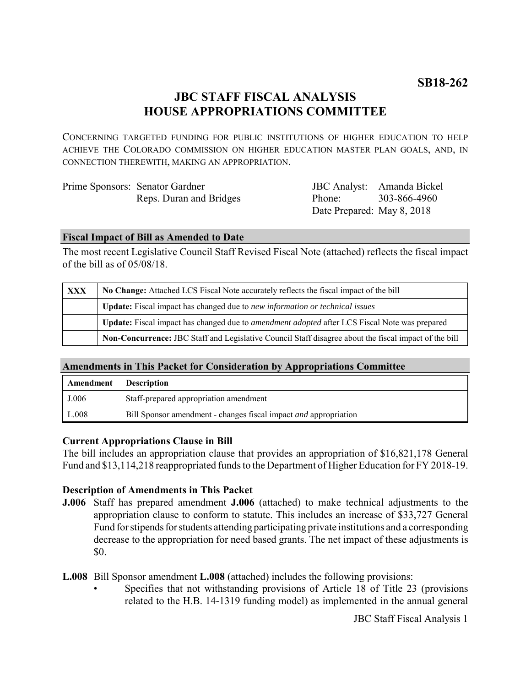# **JBC STAFF FISCAL ANALYSIS HOUSE APPROPRIATIONS COMMITTEE**

CONCERNING TARGETED FUNDING FOR PUBLIC INSTITUTIONS OF HIGHER EDUCATION TO HELP ACHIEVE THE COLORADO COMMISSION ON HIGHER EDUCATION MASTER PLAN GOALS, AND, IN CONNECTION THEREWITH, MAKING AN APPROPRIATION.

| Prime Sponsors: Senator Gardner |                            | JBC Analyst: Amanda Bickel |
|---------------------------------|----------------------------|----------------------------|
| Reps. Duran and Bridges         | Phone:                     | 303-866-4960               |
|                                 | Date Prepared: May 8, 2018 |                            |

#### **Fiscal Impact of Bill as Amended to Date**

The most recent Legislative Council Staff Revised Fiscal Note (attached) reflects the fiscal impact of the bill as of 05/08/18.

| <b>XXX</b> | No Change: Attached LCS Fiscal Note accurately reflects the fiscal impact of the bill                 |  |  |
|------------|-------------------------------------------------------------------------------------------------------|--|--|
|            | <b>Update:</b> Fiscal impact has changed due to new information or technical issues                   |  |  |
|            | Update: Fiscal impact has changed due to <i>amendment adopted</i> after LCS Fiscal Note was prepared  |  |  |
|            | Non-Concurrence: JBC Staff and Legislative Council Staff disagree about the fiscal impact of the bill |  |  |

# **Amendments in This Packet for Consideration by Appropriations Committee**

| Amendment | <b>Description</b>                                                      |
|-----------|-------------------------------------------------------------------------|
| J.006     | Staff-prepared appropriation amendment                                  |
| L.008     | Bill Sponsor amendment - changes fiscal impact <i>and</i> appropriation |

# **Current Appropriations Clause in Bill**

The bill includes an appropriation clause that provides an appropriation of \$16,821,178 General Fund and \$13,114,218 reappropriated funds to the Department of Higher Education for FY 2018-19.

# **Description of Amendments in This Packet**

**J.006** Staff has prepared amendment **J.006** (attached) to make technical adjustments to the appropriation clause to conform to statute. This includes an increase of \$33,727 General Fund for stipends for students attending participating private institutions and a corresponding decrease to the appropriation for need based grants. The net impact of these adjustments is \$0.

**L.008** Bill Sponsor amendment **L.008** (attached) includes the following provisions:

• Specifies that not withstanding provisions of Article 18 of Title 23 (provisions related to the H.B. 14-1319 funding model) as implemented in the annual general

JBC Staff Fiscal Analysis 1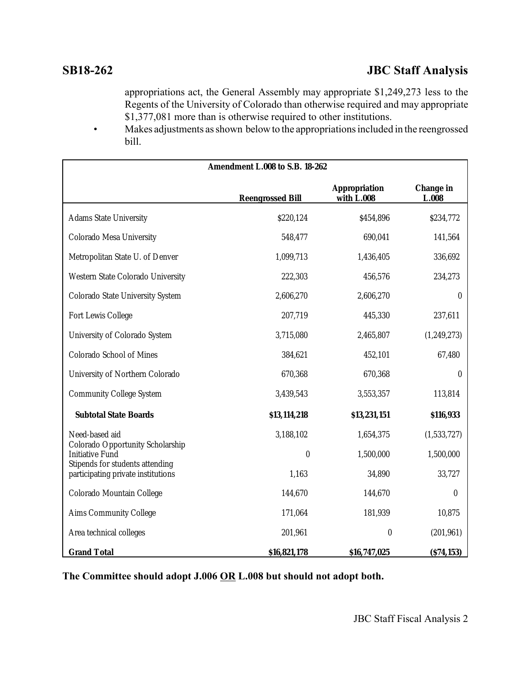appropriations act, the General Assembly may appropriate \$1,249,273 less to the Regents of the University of Colorado than otherwise required and may appropriate \$1,377,081 more than is otherwise required to other institutions.

• Makes adjustments as shown below to the appropriations included in the reengrossed bill.

| Amendment L.008 to S.B. 18-262                                                         |                         |                                    |                    |  |  |
|----------------------------------------------------------------------------------------|-------------------------|------------------------------------|--------------------|--|--|
|                                                                                        | <b>Reengrossed Bill</b> | <b>Appropriation</b><br>with L.008 | Change in<br>L.008 |  |  |
| <b>Adams State University</b>                                                          | \$220,124               | \$454,896                          | \$234,772          |  |  |
| Colorado Mesa University                                                               | 548,477                 | 690,041                            | 141,564            |  |  |
| Metropolitan State U. of Denver                                                        | 1,099,713               | 1,436,405                          | 336,692            |  |  |
| Western State Colorado University                                                      | 222,303                 | 456,576                            | 234,273            |  |  |
| Colorado State University System                                                       | 2,606,270               | 2,606,270                          | $\boldsymbol{0}$   |  |  |
| Fort Lewis College                                                                     | 207,719                 | 445,330                            | 237,611            |  |  |
| University of Colorado System                                                          | 3,715,080               | 2,465,807                          | (1,249,273)        |  |  |
| Colorado School of Mines                                                               | 384,621                 | 452,101                            | 67,480             |  |  |
| University of Northern Colorado                                                        | 670,368                 | 670,368                            | $\boldsymbol{0}$   |  |  |
| <b>Community College System</b>                                                        | 3,439,543               | 3,553,357                          | 113,814            |  |  |
| <b>Subtotal State Boards</b>                                                           | \$13,114,218            | \$13,231,151                       | \$116,933          |  |  |
| Need-based aid                                                                         | 3,188,102               | 1,654,375                          | (1,533,727)        |  |  |
| Colorado Opportunity Scholarship<br>Initiative Fund<br>Stipends for students attending | $\boldsymbol{0}$        | 1,500,000                          | 1,500,000          |  |  |
| participating private institutions                                                     | 1,163                   | 34,890                             | 33,727             |  |  |
| Colorado Mountain College                                                              | 144,670                 | 144,670                            | $\boldsymbol{0}$   |  |  |
| Aims Community College                                                                 | 171,064                 | 181,939                            | 10,875             |  |  |
| Area technical colleges                                                                | 201,961                 | $\boldsymbol{0}$                   | (201, 961)         |  |  |
| <b>Grand Total</b>                                                                     | \$16,821,178            | \$16,747,025                       | (S74, 153)         |  |  |

**The Committee should adopt J.006 OR L.008 but should not adopt both.**